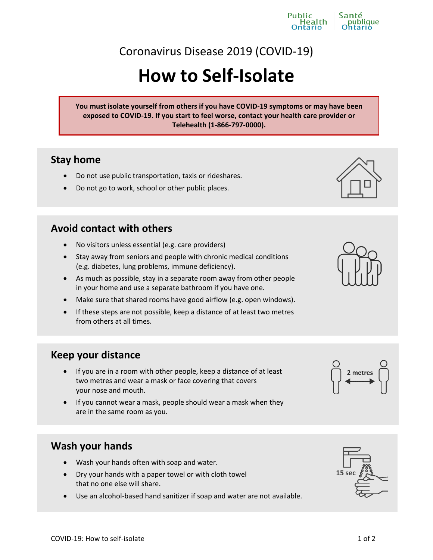# Coronavirus Disease 2019 (COVID-19)

Public

lealth

# **How to Self-Isolate**

**You must isolate yourself from others if you have COVID-19 symptoms or may have been exposed to COVID-19. If you start to feel worse, contact your health care provider or Telehealth (1-866-797-0000).**

## **Stay home**

- Do not use public transportation, taxis or rideshares.
- Do not go to work, school or other public places.

#### **Avoid contact with others**

- No visitors unless essential (e.g. care providers)
- Stay away from seniors and people with chronic medical conditions (e.g. diabetes, lung problems, immune deficiency).
- As much as possible, stay in a separate room away from other people in your home and use a separate bathroom if you have one.
- Make sure that shared rooms have good airflow (e.g. open windows).
- If these steps are not possible, keep a distance of at least two metres from others at all times.

#### **Keep your distance**

- If you are in a room with other people, keep a distance of at least two metres and wear a mask or face covering that covers your nose and mouth.
- $\bullet$  If you cannot wear a mask, people should wear a mask when they are in the same room as you.

# **Wash your hands**

- Wash your hands often with soap and water.
- Dry your hands with a paper towel or with cloth towel that no one else will share.
- Use an alcohol-based hand sanitizer if soap and water are not available.







2 metres